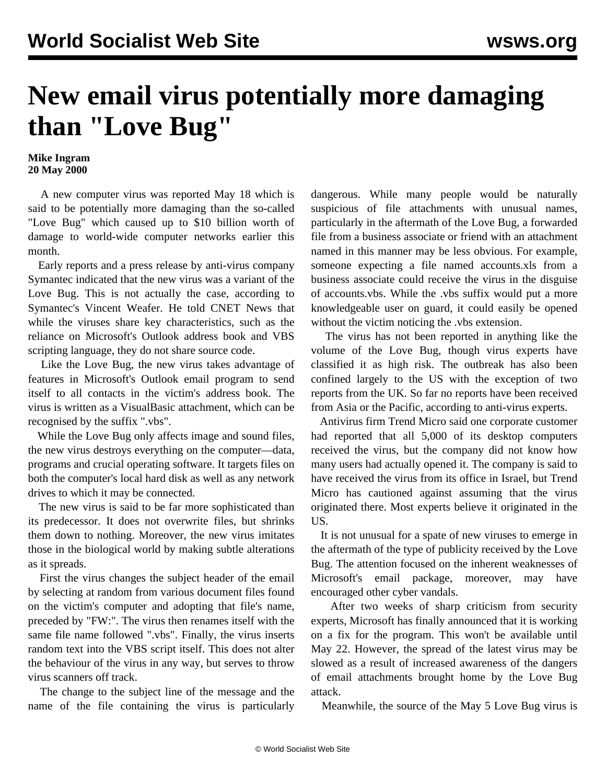## **New email virus potentially more damaging than "Love Bug"**

## **Mike Ingram 20 May 2000**

 A new computer virus was reported May 18 which is said to be potentially more damaging than the so-called "Love Bug" which caused up to \$10 billion worth of damage to world-wide computer networks earlier this month.

 Early reports and a press release by anti-virus company Symantec indicated that the new virus was a variant of the Love Bug. This is not actually the case, according to Symantec's Vincent Weafer. He told CNET News that while the viruses share key characteristics, such as the reliance on Microsoft's Outlook address book and VBS scripting language, they do not share source code.

 Like the Love Bug, the new virus takes advantage of features in Microsoft's Outlook email program to send itself to all contacts in the victim's address book. The virus is written as a VisualBasic attachment, which can be recognised by the suffix ".vbs".

 While the Love Bug only affects image and sound files, the new virus destroys everything on the computer—data, programs and crucial operating software. It targets files on both the computer's local hard disk as well as any network drives to which it may be connected.

 The new virus is said to be far more sophisticated than its predecessor. It does not overwrite files, but shrinks them down to nothing. Moreover, the new virus imitates those in the biological world by making subtle alterations as it spreads.

 First the virus changes the subject header of the email by selecting at random from various document files found on the victim's computer and adopting that file's name, preceded by "FW:". The virus then renames itself with the same file name followed ".vbs". Finally, the virus inserts random text into the VBS script itself. This does not alter the behaviour of the virus in any way, but serves to throw virus scanners off track.

 The change to the subject line of the message and the name of the file containing the virus is particularly dangerous. While many people would be naturally suspicious of file attachments with unusual names, particularly in the aftermath of the Love Bug, a forwarded file from a business associate or friend with an attachment named in this manner may be less obvious. For example, someone expecting a file named accounts.xls from a business associate could receive the virus in the disguise of accounts.vbs. While the .vbs suffix would put a more knowledgeable user on guard, it could easily be opened without the victim noticing the .vbs extension.

 The virus has not been reported in anything like the volume of the Love Bug, though virus experts have classified it as high risk. The outbreak has also been confined largely to the US with the exception of two reports from the UK. So far no reports have been received from Asia or the Pacific, according to anti-virus experts.

 Antivirus firm Trend Micro said one corporate customer had reported that all 5,000 of its desktop computers received the virus, but the company did not know how many users had actually opened it. The company is said to have received the virus from its office in Israel, but Trend Micro has cautioned against assuming that the virus originated there. Most experts believe it originated in the US.

 It is not unusual for a spate of new viruses to emerge in the aftermath of the type of publicity received by the Love Bug. The attention focused on the inherent weaknesses of Microsoft's email package, moreover, may have encouraged other cyber vandals.

 After two weeks of sharp criticism from security experts, Microsoft has finally announced that it is working on a fix for the program. This won't be available until May 22. However, the spread of the latest virus may be slowed as a result of increased awareness of the dangers of email attachments brought home by the Love Bug attack.

Meanwhile, the source of the May 5 Love Bug virus is